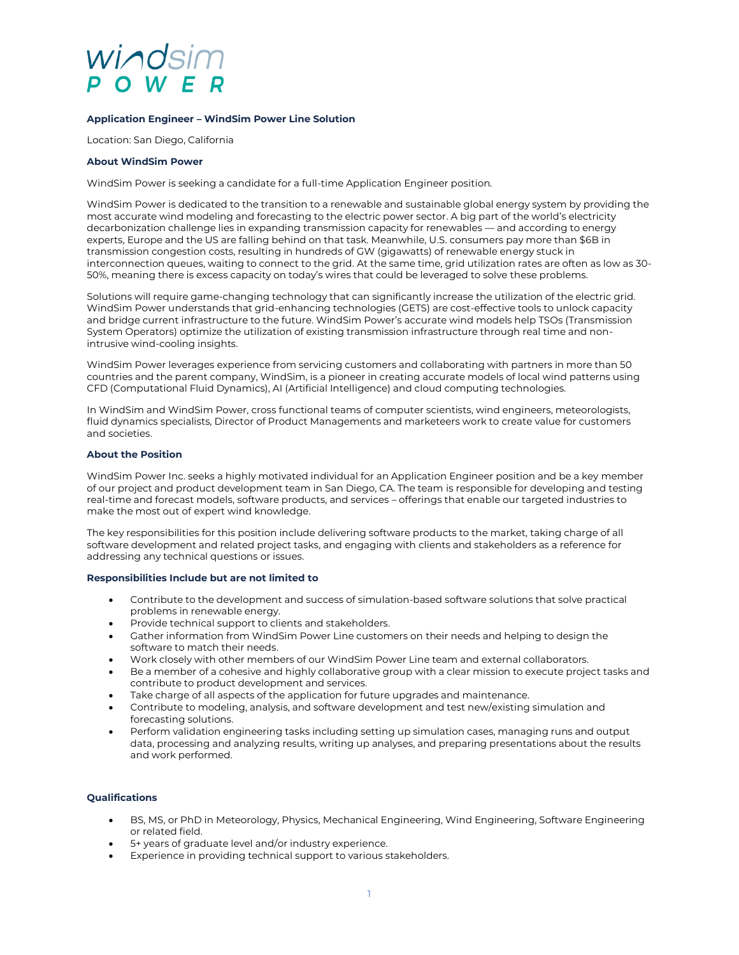# vindsim

### **Application Engineer – WindSim Power Line Solution**

Location: San Diego, California

#### **About WindSim Power**

WindSim Power is seeking a candidate for a full-time Application Engineer position.

WindSim Power is dedicated to the transition to a renewable and sustainable global energy system by providing the most accurate wind modeling and forecasting to the electric power sector. A big part of the world's electricity decarbonization challenge lies in expanding transmission capacity for renewables — and according to energy experts, Europe and the US are falling behind on that task. Meanwhile, U.S. consumers pay more than \$6B in transmission congestion costs, resulting in hundreds of GW (gigawatts) of renewable energy stuck in interconnection queues, waiting to connect to the grid. At the same time, grid utilization rates are often as low as 30- 50%, meaning there is excess capacity on today's wires that could be leveraged to solve these problems.

Solutions will require game-changing technology that can significantly increase the utilization of the electric grid. WindSim Power understands that grid-enhancing technologies (GETS) are cost-effective tools to unlock capacity and bridge current infrastructure to the future. WindSim Power's accurate wind models help TSOs (Transmission System Operators) optimize the utilization of existing transmission infrastructure through real time and nonintrusive wind-cooling insights.

WindSim Power leverages experience from servicing customers and collaborating with partners in more than 50 countries and the parent company, WindSim, is a pioneer in creating accurate models of local wind patterns using CFD (Computational Fluid Dynamics), AI (Artificial Intelligence) and cloud computing technologies.

In WindSim and WindSim Power, cross functional teams of computer scientists, wind engineers, meteorologists, fluid dynamics specialists, Director of Product Managements and marketeers work to create value for customers and societies.

#### **About the Position**

WindSim Power Inc. seeks a highly motivated individual for an Application Engineer position and be a key member of our project and product development team in San Diego, CA. The team is responsible for developing and testing real-time and forecast models, software products, and services – offerings that enable our targeted industries to make the most out of expert wind knowledge.

The key responsibilities for this position include delivering software products to the market, taking charge of all software development and related project tasks, and engaging with clients and stakeholders as a reference for addressing any technical questions or issues.

#### **Responsibilities Include but are not limited to**

- Contribute to the development and success of simulation-based software solutions that solve practical problems in renewable energy.
- Provide technical support to clients and stakeholders.
- Gather information from WindSim Power Line customers on their needs and helping to design the software to match their needs.
- Work closely with other members of our WindSim Power Line team and external collaborators.
- Be a member of a cohesive and highly collaborative group with a clear mission to execute project tasks and contribute to product development and services.
- Take charge of all aspects of the application for future upgrades and maintenance.
- Contribute to modeling, analysis, and software development and test new/existing simulation and forecasting solutions.
- Perform validation engineering tasks including setting up simulation cases, managing runs and output data, processing and analyzing results, writing up analyses, and preparing presentations about the results and work performed.

#### **Qualifications**

- BS, MS, or PhD in Meteorology, Physics, Mechanical Engineering, Wind Engineering, Software Engineering or related field.
- 5+ years of graduate level and/or industry experience.
- Experience in providing technical support to various stakeholders.